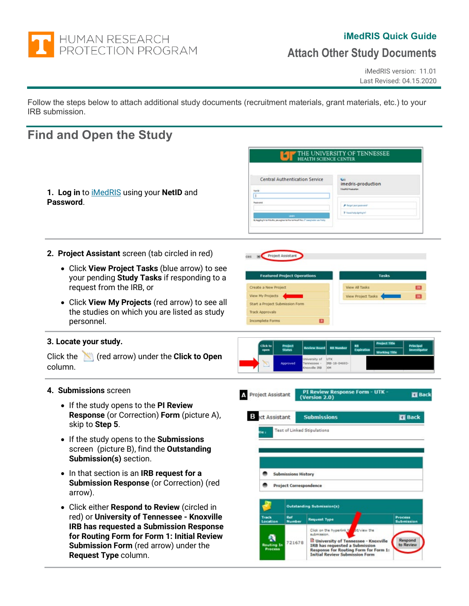

# **iMedRIS Quick Guide**

# **Attach Other Study Documents**

iMedRIS version: 11.01 Last Revised: 04.15.2020

Follow the steps below to attach additional study documents (recruitment materials, grant materials, etc.) to your IRB submission.

# **Find and Open the Study**

|                                                                                                                                                                                                                                                      | THE UNIVERSITY OF TENNESSEE<br><b>HEALTH SCIENCE CENTER</b>                                                                                                                                                                                                                                                                                                                                                                |  |  |  |  |
|------------------------------------------------------------------------------------------------------------------------------------------------------------------------------------------------------------------------------------------------------|----------------------------------------------------------------------------------------------------------------------------------------------------------------------------------------------------------------------------------------------------------------------------------------------------------------------------------------------------------------------------------------------------------------------------|--|--|--|--|
| 1. Log in to <b>iMedRIS</b> using your NetID and<br>Password.                                                                                                                                                                                        | <b>Central Authentication Service</b><br>imedris-production<br><b>INvekis Productor</b><br>Netby<br>п<br>Pastosina<br>P Regardportpassward<br>P Need help digring left<br>By lagging in harfrid after you agree harfrid nermic of the UT beautrable Liss Pol                                                                                                                                                               |  |  |  |  |
| 2. Project Assistant screen (tab circled in red)                                                                                                                                                                                                     | Project Assistant                                                                                                                                                                                                                                                                                                                                                                                                          |  |  |  |  |
| • Click View Project Tasks (blue arrow) to see<br>your pending Study Tasks if responding to a<br>request from the IRB, or                                                                                                                            | <b>Tasks</b><br><b>Featured Project Operations</b><br>Create a New Project<br><b>View All Tasks</b><br>E                                                                                                                                                                                                                                                                                                                   |  |  |  |  |
| • Click View My Projects (red arrow) to see all<br>the studies on which you are listed as study<br>personnel.                                                                                                                                        | View My Projects<br><b>View Project Tasks</b><br>$\overline{21}$<br>Start a Project Submission Form<br><b>Track Approvals</b><br>Ð<br>Incomplete Forms                                                                                                                                                                                                                                                                     |  |  |  |  |
| 3. Locate your study.<br>(red arrow) under the Click to Open<br>Click the<br>column.                                                                                                                                                                 | <b>Project Title</b><br><b>Click to</b><br><b>Principal</b><br>Project<br>Status<br>RB.<br><b>RB Number</b><br><b>Review Board</b><br>Expiration<br><b>Investigato</b><br>open<br><b>Working Title</b><br><b>RITK</b><br>Iniversity of<br>Approved<br>IRB-18-04693<br>Tennessee -<br>noxville IRB XM                                                                                                                       |  |  |  |  |
| 4. Submissions screen                                                                                                                                                                                                                                | PI Review Response Form - UTK -<br>Project Assistant<br><b>ET</b> Back<br>(Version 2.0)                                                                                                                                                                                                                                                                                                                                    |  |  |  |  |
| • If the study opens to the PI Review<br><b>Response</b> (or Correction) Form (picture A),<br>skip to Step 5.                                                                                                                                        | <b>B</b> ect Assistant<br><b>Submissions</b><br><b>Back</b>                                                                                                                                                                                                                                                                                                                                                                |  |  |  |  |
| • If the study opens to the Submissions<br>screen (picture B), find the <b>Outstanding</b><br>Submission(s) section.                                                                                                                                 | <b>Test of Linked Stipulations</b>                                                                                                                                                                                                                                                                                                                                                                                         |  |  |  |  |
| In that section is an IRB request for a<br>$\bullet$<br>Submission Response (or Correction) (red<br>arrow).                                                                                                                                          | <b>Submissions History</b><br><b>Project Correspondence</b>                                                                                                                                                                                                                                                                                                                                                                |  |  |  |  |
| Click either Respond to Review (circled in<br>red) or University of Tennessee - Knoxville<br>IRB has requested a Submission Response<br>for Routing Form for Form 1: Initial Review<br>Submission Form (red arrow) under the<br>Request Type column. | Outstanding Submission(s)<br>Track<br>Ref<br>Process<br><b>Request Type</b><br><b>Number</b><br>Location<br>Submission<br>Click on the hyperlink t<br><b>Striview the</b><br>submission.<br>a<br>Respond<br>University of Tennessee - Knoxville<br>721678<br>Routing In<br>to Review<br>IRB has requested a Submission<br>Process<br><b>Response for Routing Form for Form 1:</b><br><b>Initial Review Submission Form</b> |  |  |  |  |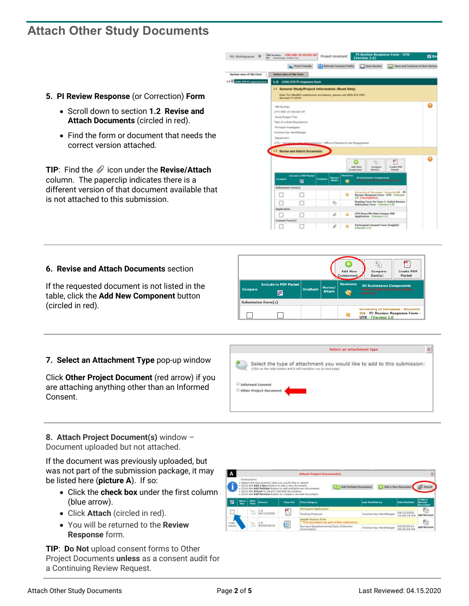# **Attach Other Study Documents**

- **5. PI Review Response** (or Correction) **Form**
	- Scroll down to section **1.2 Revise and Attach Documents** (circled in red).
	- Find the form or document that needs the correct version attached.

**TIP:** Find the  $\mathcal O$  icon under the **Revise/Attach** column. The paperclip indicates there is a different version of that document available that is not attached to this submission.



### **6. Revise and Attach Documents** section

If the requested document is not listed in the table, click the **Add New Component** button (circled in red).

|         |                                           |                 |                          | ۰<br><b>Add New</b><br>Component | Compare<br>Item(s)                                                                            | <b>Create PDF</b><br>Packet |
|---------|-------------------------------------------|-----------------|--------------------------|----------------------------------|-----------------------------------------------------------------------------------------------|-----------------------------|
| Compare | <b>Include in PDF Packet</b><br><u>ia</u> | <b>Unattach</b> | Revise/<br><b>Attach</b> | <b>Revisions</b>                 | <b>All Submission Components</b><br><b>Previous Rounds &amp; Currently</b><br><b>Attached</b> |                             |
|         | <b>Submission Form(s)</b>                 |                 |                          |                                  |                                                                                               |                             |
|         |                                           |                 |                          |                                  | University of Tennessee - Knoxville<br>IRB - PI Review Response Form -<br>UTK - (Version 2.0  |                             |

### **7. Select an Attachment Type** pop-up window

Click **Other Project Document** (red arrow) if you are attaching anything other than an Informed Consent.



### **8. Attach Project Document(s)** window – Document uploaded but not attached.

If the document was previously uploaded, but was not part of the submission package, it may be listed here (**picture A**). If so:

- Click the **check box** under the first column (blue arrow).
- Click **Attach** (circled in red).
- You will be returned to the **Review Response** form.

**TIP**: **Do Not** upload consent forms to Other Project Documents **unless** as a consent audit for a Continuing Review Request.

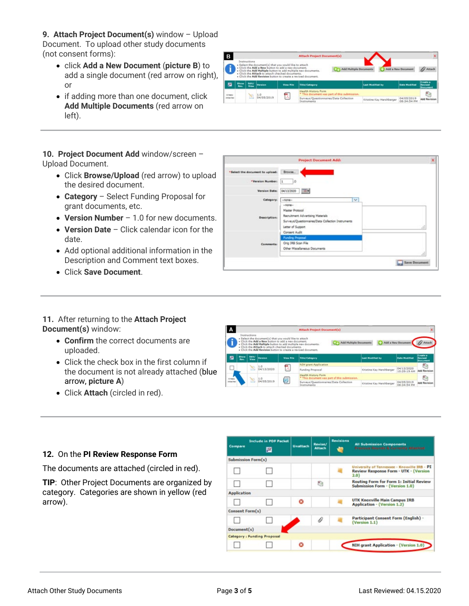**9. Attach Project Document(s)** window – Upload Document. To upload other study documents (not consent forms):

- click **Add a New Document** (**picture B**) to add a single document (red arrow on right), or
- if adding more than one document, click **Add Multiple Documents** (red arrow on left).



**10. Project Document Add** window/screen – Upload Document.

- Click **Browse/Upload** (red arrow) to upload the desired document.
- **Category** Select Funding Proposal for grant documents, etc.
- **Version Number** 1.0 for new documents.
- **Version Date** Click calendar icon for the date.
- Add optional additional information in the Description and Comment text boxes.
- Click **Save Document**.

## $\boxed{1}$ ٦ø Date: 04/13/2020 36 Master Protocol ment Advertising Ma Surveys/Questionnaires/Data Col Letter of Support Consent Audit Orig IRB Scan File Other Miscellaneous D Save Doct

- **11.** After returning to the **Attach Project Document(s)** window:
	- **Confirm** the correct documents are uploaded.
	- Click the check box in the first column if the document is not already attached (blue arrow, **picture A**)
	- Click **Attach** (circled in red).



### **12.** On the **PI Review Response Form**

The documents are attached (circled in red).

**TIP**: Other Project Documents are organized by category. Categories are shown in yellow (red arrow).

| Compare            | <b>Include in PDF Packet</b><br>膻 | Unattach | Revise/<br><b>Attach</b> | Revisions | <b>All Submission Components</b><br>Presious Rounds & Currently Attenuer                      |
|--------------------|-----------------------------------|----------|--------------------------|-----------|-----------------------------------------------------------------------------------------------|
|                    | <b>Submission Form(s)</b>         |          |                          |           |                                                                                               |
|                    |                                   |          |                          |           | University of Tennessee - Knoxville IRB - PI<br>Review Response Form - UTK - (Version<br>2.0) |
|                    |                                   |          | Đ                        |           | Routing Form for Form 1: Initial Review<br>Submission Form - (Version 1.0)                    |
| <b>Application</b> |                                   |          |                          |           |                                                                                               |
|                    |                                   |          |                          |           | UTK Knoxville Main Campus IRB<br>Application - (Version 1.2)                                  |
| Consent Form(s)    |                                   |          |                          |           |                                                                                               |
|                    |                                   |          | D                        |           | Participant Consent Form (English) -<br>(Version 1.1)                                         |
| Document(s)        |                                   |          |                          |           |                                                                                               |
|                    | Category : Funding Proposal       |          |                          |           |                                                                                               |
|                    |                                   |          |                          |           | <b>NIH grant Application - (Version 1.0)</b>                                                  |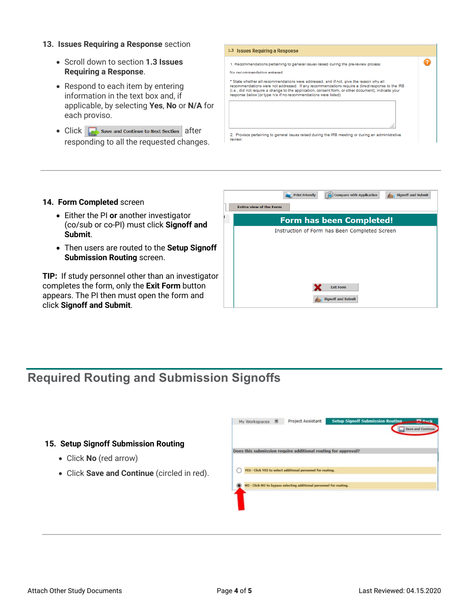- **13. Issues Requiring a Response** section
	- Scroll down to section **1.3 Issues Requiring a Response**.
	- Respond to each item by entering information in the text box and, if applicable, by selecting **Yes**, **No** or **N/A** for each proviso.
	- $Click \nightharpoonup$  Save and Continue to Next Section after responding to all the requested changes.



#### **14. Form Completed** screen

- Either the PI **or** another investigator (co/sub or co-PI) must click **Signoff and Submit**.
- Then users are routed to the **Setup Signoff Submission Routing** screen.

**TIP:** If study personnel other than an investigator completes the form, only the **Exit Form** button appears. The PI then must open the form and click **Signoff and Submit**.

| <b>Print Friendly</b>          | Compare with Application                      | <b>Signoff and Submit</b> |
|--------------------------------|-----------------------------------------------|---------------------------|
| <b>Entire view of the Form</b> |                                               |                           |
|                                | <b>Form has been Completed!</b>               |                           |
|                                | Instruction of Form has Been Completed Screen |                           |
|                                | <b>Exit Form</b><br><b>Signoff and Submit</b> |                           |

# **Required Routing and Submission Signoffs**

#### **15. Setup Signoff Submission Routing**

- Click **No** (red arrow)
- Click **Save and Continue** (circled in red).

| My Workspaces | Project Assistant                                                   | <b>Setup Signoff Submission Routing</b> | <b>STARTE</b>            |
|---------------|---------------------------------------------------------------------|-----------------------------------------|--------------------------|
|               |                                                                     |                                         | <b>Save and Continue</b> |
|               |                                                                     |                                         |                          |
|               | Does this submission require additional routing for approval?       |                                         |                          |
|               | YES - Click YES to select additional personnel for routing.         |                                         |                          |
|               |                                                                     |                                         |                          |
|               | NO - Click NO to bypass selecting additional personnel for routing. |                                         |                          |
|               |                                                                     |                                         |                          |
|               |                                                                     |                                         |                          |